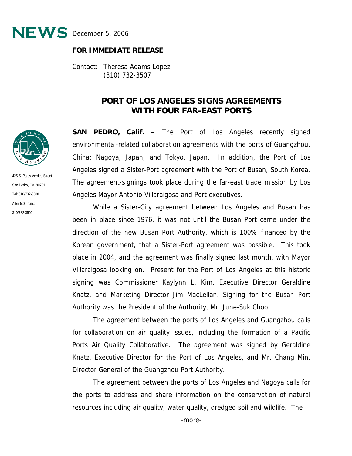

## **FOR IMMEDIATE RELEASE**

Contact: Theresa Adams Lopez (310) 732-3507

## **PORT OF LOS ANGELES SIGNS AGREEMENTS WITH FOUR FAR-EAST PORTS**

**SAN PEDRO, Calif. –** The Port of Los Angeles recently signed environmental-related collaboration agreements with the ports of Guangzhou, China; Nagoya, Japan; and Tokyo, Japan. In addition, the Port of Los Angeles signed a Sister-Port agreement with the Port of Busan, South Korea. The agreement-signings took place during the far-east trade mission by Los Angeles Mayor Antonio Villaraigosa and Port executives.

 While a Sister-City agreement between Los Angeles and Busan has been in place since 1976, it was not until the Busan Port came under the direction of the new Busan Port Authority, which is 100% financed by the Korean government, that a Sister-Port agreement was possible. This took place in 2004, and the agreement was finally signed last month, with Mayor Villaraigosa looking on. Present for the Port of Los Angeles at this historic signing was Commissioner Kaylynn L. Kim, Executive Director Geraldine Knatz, and Marketing Director Jim MacLellan. Signing for the Busan Port Authority was the President of the Authority, Mr. June-Suk Choo.

 The agreement between the ports of Los Angeles and Guangzhou calls for collaboration on air quality issues, including the formation of a Pacific Ports Air Quality Collaborative. The agreement was signed by Geraldine Knatz, Executive Director for the Port of Los Angeles, and Mr. Chang Min, Director General of the Guangzhou Port Authority.

 The agreement between the ports of Los Angeles and Nagoya calls for the ports to address and share information on the conservation of natural resources including air quality, water quality, dredged soil and wildlife. The



425 S. Palos Verdes Street San Pedro, CA 90731 Tel: 310/732-3508 After 5:00 p.m.: 310/732-3500